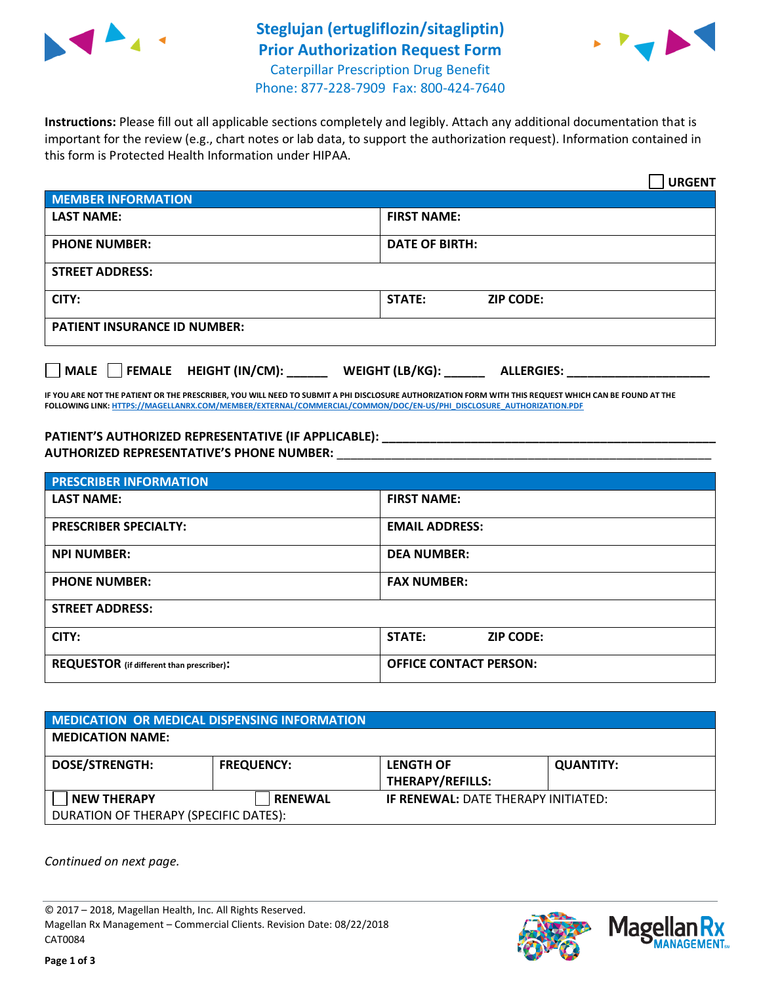

## **Steglujan (ertugliflozin/sitagliptin) Prior Authorization Request Form** Caterpillar Prescription Drug Benefit



Phone: 877-228-7909 Fax: 800-424-7640

**Instructions:** Please fill out all applicable sections completely and legibly. Attach any additional documentation that is important for the review (e.g., chart notes or lab data, to support the authorization request). Information contained in this form is Protected Health Information under HIPAA.

|                                       | <b>URGENT</b>                        |  |  |  |
|---------------------------------------|--------------------------------------|--|--|--|
| <b>MEMBER INFORMATION</b>             |                                      |  |  |  |
| <b>LAST NAME:</b>                     | <b>FIRST NAME:</b>                   |  |  |  |
| <b>PHONE NUMBER:</b>                  | <b>DATE OF BIRTH:</b>                |  |  |  |
| <b>STREET ADDRESS:</b>                |                                      |  |  |  |
| CITY:                                 | <b>STATE:</b><br><b>ZIP CODE:</b>    |  |  |  |
| <b>PATIENT INSURANCE ID NUMBER:</b>   |                                      |  |  |  |
| FEMALE HEIGHT (IN/CM):<br><b>MALE</b> | WEIGHT (LB/KG):<br><b>ALLERGIES:</b> |  |  |  |

**IF YOU ARE NOT THE PATIENT OR THE PRESCRIBER, YOU WILL NEED TO SUBMIT A PHI DISCLOSURE AUTHORIZATION FORM WITH THIS REQUEST WHICH CAN BE FOUND AT THE FOLLOWING LINK[: HTTPS://MAGELLANRX.COM/MEMBER/EXTERNAL/COMMERCIAL/COMMON/DOC/EN-US/PHI\\_DISCLOSURE\\_AUTHORIZATION.PDF](https://magellanrx.com/member/external/commercial/common/doc/en-us/PHI_Disclosure_Authorization.pdf)**

**PATIENT'S AUTHORIZED REPRESENTATIVE (IF APPLICABLE): \_\_\_\_\_\_\_\_\_\_\_\_\_\_\_\_\_\_\_\_\_\_\_\_\_\_\_\_\_\_\_\_\_\_\_\_\_\_\_\_\_\_\_\_\_\_\_\_\_ AUTHORIZED REPRESENTATIVE'S PHONE NUMBER:** \_\_\_\_\_\_\_\_\_\_\_\_\_\_\_\_\_\_\_\_\_\_\_\_\_\_\_\_\_\_\_\_\_\_\_\_\_\_\_\_\_\_\_\_\_\_\_\_\_\_\_\_\_\_\_

| <b>PRESCRIBER INFORMATION</b>             |                               |  |  |  |
|-------------------------------------------|-------------------------------|--|--|--|
| <b>LAST NAME:</b>                         | <b>FIRST NAME:</b>            |  |  |  |
| <b>PRESCRIBER SPECIALTY:</b>              | <b>EMAIL ADDRESS:</b>         |  |  |  |
| <b>NPI NUMBER:</b>                        | <b>DEA NUMBER:</b>            |  |  |  |
| <b>PHONE NUMBER:</b>                      | <b>FAX NUMBER:</b>            |  |  |  |
| <b>STREET ADDRESS:</b>                    |                               |  |  |  |
| CITY:                                     | STATE:<br><b>ZIP CODE:</b>    |  |  |  |
| REQUESTOR (if different than prescriber): | <b>OFFICE CONTACT PERSON:</b> |  |  |  |

| MEDICATION OR MEDICAL DISPENSING INFORMATION |                   |                                            |                  |  |  |
|----------------------------------------------|-------------------|--------------------------------------------|------------------|--|--|
| <b>MEDICATION NAME:</b>                      |                   |                                            |                  |  |  |
| <b>DOSE/STRENGTH:</b>                        | <b>FREQUENCY:</b> | <b>LENGTH OF</b>                           | <b>QUANTITY:</b> |  |  |
|                                              |                   | <b>THERAPY/REFILLS:</b>                    |                  |  |  |
| <b>NEW THERAPY</b>                           | <b>RENEWAL</b>    | <b>IF RENEWAL: DATE THERAPY INITIATED:</b> |                  |  |  |
| DURATION OF THERAPY (SPECIFIC DATES):        |                   |                                            |                  |  |  |

*Continued on next page.*

© 2017 – 2018, Magellan Health, Inc. All Rights Reserved. Magellan Rx Management – Commercial Clients. Revision Date: 08/22/2018 CAT0084



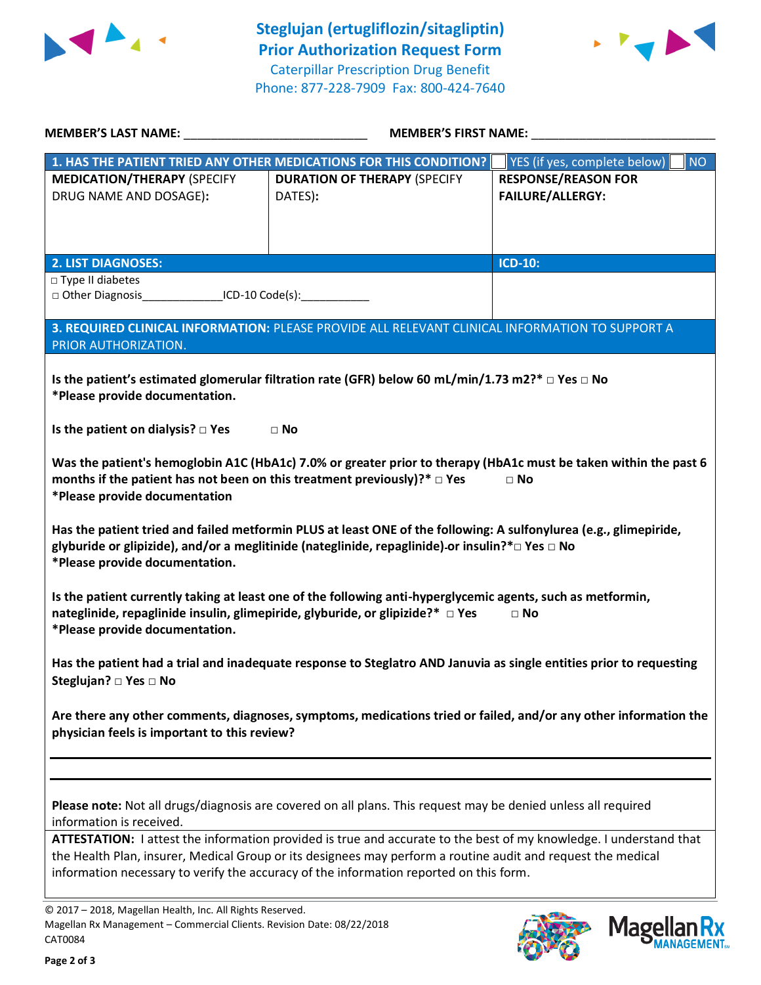



| <b>MEMBER'S LAST NAME:</b> NAME                                                                                                                                                                        | <b>MEMBER'S FIRST NAME:</b>                                                                                        |                                           |  |  |  |
|--------------------------------------------------------------------------------------------------------------------------------------------------------------------------------------------------------|--------------------------------------------------------------------------------------------------------------------|-------------------------------------------|--|--|--|
|                                                                                                                                                                                                        | 1. HAS THE PATIENT TRIED ANY OTHER MEDICATIONS FOR THIS CONDITION?                                                 | YES (if yes, complete below)<br><b>NO</b> |  |  |  |
| <b>MEDICATION/THERAPY (SPECIFY</b>                                                                                                                                                                     | <b>DURATION OF THERAPY (SPECIFY</b>                                                                                | <b>RESPONSE/REASON FOR</b>                |  |  |  |
| DRUG NAME AND DOSAGE):                                                                                                                                                                                 | DATES):                                                                                                            | <b>FAILURE/ALLERGY:</b>                   |  |  |  |
|                                                                                                                                                                                                        |                                                                                                                    |                                           |  |  |  |
|                                                                                                                                                                                                        |                                                                                                                    |                                           |  |  |  |
| <b>2. LIST DIAGNOSES:</b><br>□ Type II diabetes                                                                                                                                                        |                                                                                                                    | <b>ICD-10:</b>                            |  |  |  |
| □ Other Diagnosis__________________ICD-10 Code(s):_____________________________                                                                                                                        |                                                                                                                    |                                           |  |  |  |
|                                                                                                                                                                                                        |                                                                                                                    |                                           |  |  |  |
| PRIOR AUTHORIZATION.                                                                                                                                                                                   | 3. REQUIRED CLINICAL INFORMATION: PLEASE PROVIDE ALL RELEVANT CLINICAL INFORMATION TO SUPPORT A                    |                                           |  |  |  |
|                                                                                                                                                                                                        |                                                                                                                    |                                           |  |  |  |
|                                                                                                                                                                                                        | Is the patient's estimated glomerular filtration rate (GFR) below 60 mL/min/1.73 m2?* $\Box$ Yes $\Box$ No         |                                           |  |  |  |
| *Please provide documentation.                                                                                                                                                                         |                                                                                                                    |                                           |  |  |  |
| Is the patient on dialysis? $\square$ Yes                                                                                                                                                              | $\Box$ No                                                                                                          |                                           |  |  |  |
|                                                                                                                                                                                                        |                                                                                                                    |                                           |  |  |  |
|                                                                                                                                                                                                        | Was the patient's hemoglobin A1C (HbA1c) 7.0% or greater prior to therapy (HbA1c must be taken within the past 6   |                                           |  |  |  |
| months if the patient has not been on this treatment previously)?* $\Box$ Yes                                                                                                                          |                                                                                                                    | $\hfill \Box$ No                          |  |  |  |
| *Please provide documentation                                                                                                                                                                          |                                                                                                                    |                                           |  |  |  |
|                                                                                                                                                                                                        | Has the patient tried and failed metformin PLUS at least ONE of the following: A sulfonylurea (e.g., glimepiride,  |                                           |  |  |  |
|                                                                                                                                                                                                        | glyburide or glipizide), and/or a meglitinide (nateglinide, repaglinide)-or insulin?* $\Box$ Yes $\Box$ No         |                                           |  |  |  |
| *Please provide documentation.                                                                                                                                                                         |                                                                                                                    |                                           |  |  |  |
|                                                                                                                                                                                                        | Is the patient currently taking at least one of the following anti-hyperglycemic agents, such as metformin,        |                                           |  |  |  |
| nateglinide, repaglinide insulin, glimepiride, glyburide, or glipizide?* □ Yes                                                                                                                         |                                                                                                                    | $\Box$ No                                 |  |  |  |
| *Please provide documentation.                                                                                                                                                                         |                                                                                                                    |                                           |  |  |  |
|                                                                                                                                                                                                        |                                                                                                                    |                                           |  |  |  |
| Has the patient had a trial and inadequate response to Steglatro AND Januvia as single entities prior to requesting<br>Steglujan? □ Yes □ No                                                           |                                                                                                                    |                                           |  |  |  |
|                                                                                                                                                                                                        |                                                                                                                    |                                           |  |  |  |
| Are there any other comments, diagnoses, symptoms, medications tried or failed, and/or any other information the                                                                                       |                                                                                                                    |                                           |  |  |  |
| physician feels is important to this review?                                                                                                                                                           |                                                                                                                    |                                           |  |  |  |
|                                                                                                                                                                                                        |                                                                                                                    |                                           |  |  |  |
|                                                                                                                                                                                                        |                                                                                                                    |                                           |  |  |  |
|                                                                                                                                                                                                        | Please note: Not all drugs/diagnosis are covered on all plans. This request may be denied unless all required      |                                           |  |  |  |
| information is received.                                                                                                                                                                               |                                                                                                                    |                                           |  |  |  |
|                                                                                                                                                                                                        | ATTESTATION: I attest the information provided is true and accurate to the best of my knowledge. I understand that |                                           |  |  |  |
| the Health Plan, insurer, Medical Group or its designees may perform a routine audit and request the medical<br>information necessary to verify the accuracy of the information reported on this form. |                                                                                                                    |                                           |  |  |  |
|                                                                                                                                                                                                        |                                                                                                                    |                                           |  |  |  |
| © 2017 - 2018, Magellan Health, Inc. All Rights Reserved.                                                                                                                                              |                                                                                                                    |                                           |  |  |  |
| Magellan Rx Management - Commercial Clients. Revision Date: 08/22/2018                                                                                                                                 |                                                                                                                    | Magollan Ry                               |  |  |  |

CAT0084